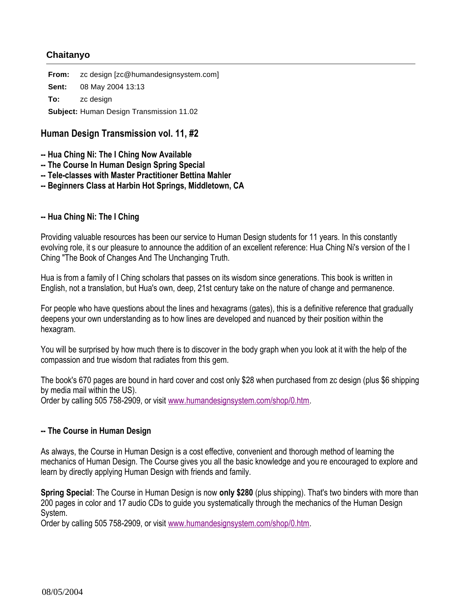# **Chaitanyo**

**From:** zc design [zc@humandesignsystem.com] **Sent:** 08 May 2004 13:13 **To:** zc design **Subject:** Human Design Transmission 11.02

# **Human Design Transmission vol. 11, #2**

- **-- Hua Ching Ni: The I Ching Now Available**
- **-- The Course In Human Design Spring Special**
- **-- Tele-classes with Master Practitioner Bettina Mahler**
- **-- Beginners Class at Harbin Hot Springs, Middletown, CA**

### **-- Hua Ching Ni: The I Ching**

Providing valuable resources has been our service to Human Design students for 11 years. In this constantly evolving role, it s our pleasure to announce the addition of an excellent reference: Hua Ching Ni's version of the I Ching "The Book of Changes And The Unchanging Truth.

Hua is from a family of I Ching scholars that passes on its wisdom since generations. This book is written in English, not a translation, but Hua's own, deep, 21st century take on the nature of change and permanence.

For people who have questions about the lines and hexagrams (gates), this is a definitive reference that gradually deepens your own understanding as to how lines are developed and nuanced by their position within the hexagram.

You will be surprised by how much there is to discover in the body graph when you look at it with the help of the compassion and true wisdom that radiates from this gem.

The book's 670 pages are bound in hard cover and cost only \$28 when purchased from zc design (plus \$6 shipping by media mail within the US).

Order by calling 505 758-2909, or visit www.humandesignsystem.com/shop/0.htm.

#### **-- The Course in Human Design**

As always, the Course in Human Design is a cost effective, convenient and thorough method of learning the mechanics of Human Design. The Course gives you all the basic knowledge and you re encouraged to explore and learn by directly applying Human Design with friends and family.

**Spring Special**: The Course in Human Design is now **only \$280** (plus shipping). That's two binders with more than 200 pages in color and 17 audio CDs to guide you systematically through the mechanics of the Human Design System.

Order by calling 505 758-2909, or visit www.humandesignsystem.com/shop/0.htm.